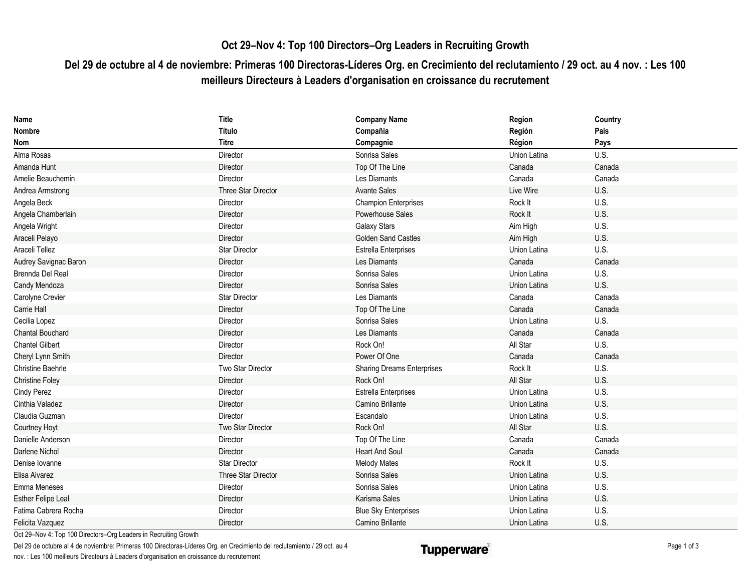## **Oct 29–Nov 4: Top 100 Directors–Org Leaders in Recruiting Growth**

## **Del 29 de octubre al 4 de noviembre: Primeras 100 Directoras-Líderes Org. en Crecimiento del reclutamiento / 29 oct. au 4 nov. : Les 100 meilleurs Directeurs à Leaders d'organisation en croissance du recrutement**

| <b>Name</b>               | Title                | <b>Company Name</b>               | Region       | Country |
|---------------------------|----------------------|-----------------------------------|--------------|---------|
| <b>Nombre</b>             | Título               | Compañia                          | Región       | Pais    |
| <b>Nom</b>                | <b>Titre</b>         | Compagnie                         | Région       | Pays    |
| Alma Rosas                | Director             | Sonrisa Sales                     | Union Latina | U.S.    |
| Amanda Hunt               | Director             | Top Of The Line                   | Canada       | Canada  |
| Amelie Beauchemin         | Director             | Les Diamants                      | Canada       | Canada  |
| Andrea Armstrong          | Three Star Director  | <b>Avante Sales</b>               | Live Wire    | U.S.    |
| Angela Beck               | Director             | <b>Champion Enterprises</b>       | Rock It      | U.S.    |
| Angela Chamberlain        | Director             | Powerhouse Sales                  | Rock It      | U.S.    |
| Angela Wright             | Director             | <b>Galaxy Stars</b>               | Aim High     | U.S.    |
| Araceli Pelayo            | Director             | <b>Golden Sand Castles</b>        | Aim High     | U.S.    |
| Araceli Tellez            | <b>Star Director</b> | Estrella Enterprises              | Union Latina | U.S.    |
| Audrey Savignac Baron     | Director             | Les Diamants                      | Canada       | Canada  |
| Brennda Del Real          | Director             | Sonrisa Sales                     | Union Latina | U.S.    |
| Candy Mendoza             | Director             | Sonrisa Sales                     | Union Latina | U.S.    |
| Carolyne Crevier          | <b>Star Director</b> | Les Diamants                      | Canada       | Canada  |
| Carrie Hall               | Director             | Top Of The Line                   | Canada       | Canada  |
| Cecilia Lopez             | Director             | Sonrisa Sales                     | Union Latina | U.S.    |
| <b>Chantal Bouchard</b>   | Director             | Les Diamants                      | Canada       | Canada  |
| <b>Chantel Gilbert</b>    | Director             | Rock On!                          | All Star     | U.S.    |
| Cheryl Lynn Smith         | Director             | Power Of One                      | Canada       | Canada  |
| <b>Christine Baehrle</b>  | Two Star Director    | <b>Sharing Dreams Enterprises</b> | Rock It      | U.S.    |
| <b>Christine Foley</b>    | Director             | Rock On!                          | All Star     | U.S.    |
| <b>Cindy Perez</b>        | Director             | <b>Estrella Enterprises</b>       | Union Latina | U.S.    |
| Cinthia Valadez           | Director             | Camino Brillante                  | Union Latina | U.S.    |
| Claudia Guzman            | Director             | Escandalo                         | Union Latina | U.S.    |
| Courtney Hoyt             | Two Star Director    | Rock On!                          | All Star     | U.S.    |
| Danielle Anderson         | Director             | Top Of The Line                   | Canada       | Canada  |
| Darlene Nichol            | Director             | <b>Heart And Soul</b>             | Canada       | Canada  |
| Denise lovanne            | <b>Star Director</b> | <b>Melody Mates</b>               | Rock It      | U.S.    |
| Elisa Alvarez             | Three Star Director  | Sonrisa Sales                     | Union Latina | U.S.    |
| Emma Meneses              | Director             | Sonrisa Sales                     | Union Latina | U.S.    |
| <b>Esther Felipe Leal</b> | Director             | Karisma Sales                     | Union Latina | U.S.    |
| Fatima Cabrera Rocha      | Director             | <b>Blue Sky Enterprises</b>       | Union Latina | U.S.    |
| Felicita Vazquez          | Director             | Camino Brillante                  | Union Latina | U.S.    |

Oct 29–Nov 4: Top 100 Directors–Org Leaders in Recruiting Growth

Del 29 de octubre al 4 de noviembre: Primeras 100 Directoras-Líderes Org. en Crecimiento del reclutamiento / 29 oct. au 4 nov. : Les 100 meilleurs Directeurs à Leaders d'organisation en croissance du recrutement

## **Tupperware**®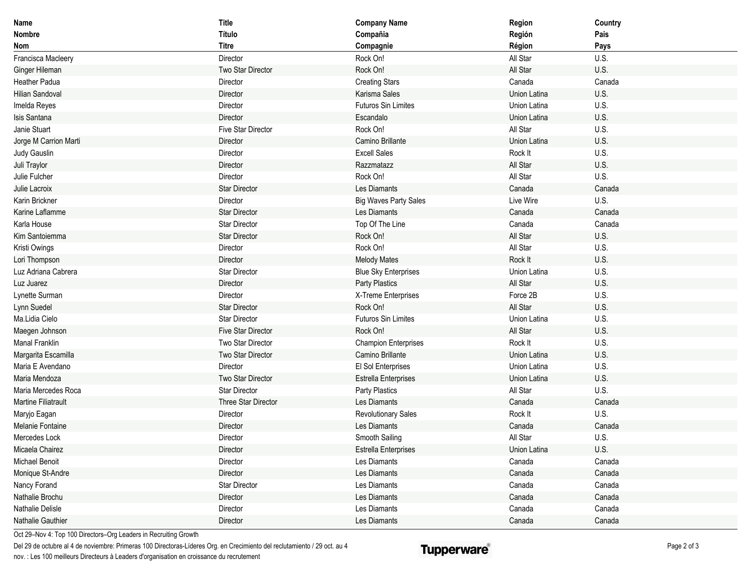| Name                       | <b>Title</b>         | <b>Company Name</b>          | Region              | Country |
|----------------------------|----------------------|------------------------------|---------------------|---------|
| Nombre                     | Título               | Compañia                     | Región              | Pais    |
| Nom                        | <b>Titre</b>         | Compagnie                    | Région              | Pays    |
| Francisca Macleery         | Director             | Rock On!                     | All Star            | U.S.    |
| Ginger Hileman             | Two Star Director    | Rock On!                     | All Star            | U.S.    |
| Heather Padua              | Director             | <b>Creating Stars</b>        | Canada              | Canada  |
| <b>Hilian Sandoval</b>     | Director             | Karisma Sales                | <b>Union Latina</b> | U.S.    |
| Imelda Reyes               | Director             | Futuros Sin Limites          | Union Latina        | U.S.    |
| Isis Santana               | Director             | Escandalo                    | Union Latina        | U.S.    |
| Janie Stuart               | Five Star Director   | Rock On!                     | All Star            | U.S.    |
| Jorge M Carrion Marti      | Director             | Camino Brillante             | Union Latina        | U.S.    |
| Judy Gauslin               | Director             | <b>Excell Sales</b>          | Rock It             | U.S.    |
| Juli Traylor               | Director             | Razzmatazz                   | All Star            | U.S.    |
| Julie Fulcher              | Director             | Rock On!                     | All Star            | U.S.    |
| Julie Lacroix              | <b>Star Director</b> | Les Diamants                 | Canada              | Canada  |
| Karin Brickner             | Director             | <b>Big Waves Party Sales</b> | Live Wire           | U.S.    |
| Karine Laflamme            | Star Director        | Les Diamants                 | Canada              | Canada  |
| Karla House                | Star Director        | Top Of The Line              | Canada              | Canada  |
| Kim Santoiemma             | <b>Star Director</b> | Rock On!                     | All Star            | U.S.    |
| Kristi Owings              | Director             | Rock On!                     | All Star            | U.S.    |
| Lori Thompson              | Director             | <b>Melody Mates</b>          | Rock It             | U.S.    |
| Luz Adriana Cabrera        | <b>Star Director</b> | <b>Blue Sky Enterprises</b>  | Union Latina        | U.S.    |
| Luz Juarez                 | Director             | Party Plastics               | All Star            | U.S.    |
| Lynette Surman             | Director             | X-Treme Enterprises          | Force 2B            | U.S.    |
| Lynn Suedel                | <b>Star Director</b> | Rock On!                     | All Star            | U.S.    |
| Ma.Lidia Cielo             | <b>Star Director</b> | Futuros Sin Limites          | Union Latina        | U.S.    |
| Maegen Johnson             | Five Star Director   | Rock On!                     | All Star            | U.S.    |
| Manal Franklin             | Two Star Director    | <b>Champion Enterprises</b>  | Rock It             | U.S.    |
| Margarita Escamilla        | Two Star Director    | Camino Brillante             | Union Latina        | U.S.    |
| Maria E Avendano           | Director             | El Sol Enterprises           | Union Latina        | U.S.    |
| Maria Mendoza              | Two Star Director    | <b>Estrella Enterprises</b>  | Union Latina        | U.S.    |
| Maria Mercedes Roca        | <b>Star Director</b> | Party Plastics               | All Star            | U.S.    |
| <b>Martine Filiatrault</b> | Three Star Director  | Les Diamants                 | Canada              | Canada  |
| Maryjo Eagan               | Director             | <b>Revolutionary Sales</b>   | Rock It             | U.S.    |
| Melanie Fontaine           | Director             | Les Diamants                 | Canada              | Canada  |
| Mercedes Lock              | Director             | Smooth Sailing               | All Star            | U.S.    |
| Micaela Chairez            | Director             | <b>Estrella Enterprises</b>  | Union Latina        | U.S.    |
| Michael Benoit             | Director             | Les Diamants                 | Canada              | Canada  |
| Monique St-Andre           | Director             | Les Diamants                 | Canada              | Canada  |
| Nancy Forand               | Star Director        | Les Diamants                 | Canada              | Canada  |
| Nathalie Brochu            | Director             | Les Diamants                 | Canada              | Canada  |
| Nathalie Delisle           | Director             | Les Diamants                 | Canada              | Canada  |
| Nathalie Gauthier          | Director             | Les Diamants                 | Canada              | Canada  |

Oct 29–Nov 4: Top 100 Directors–Org Leaders in Recruiting Growth

Del 29 de octubre al 4 de noviembre: Primeras 100 Directoras-Líderes Org. en Crecimiento del reclutamiento / 29 oct. au 4 nov. : Les 100 meilleurs Directeurs à Leaders d'organisation en croissance du recrutement

## **Tupperware**®